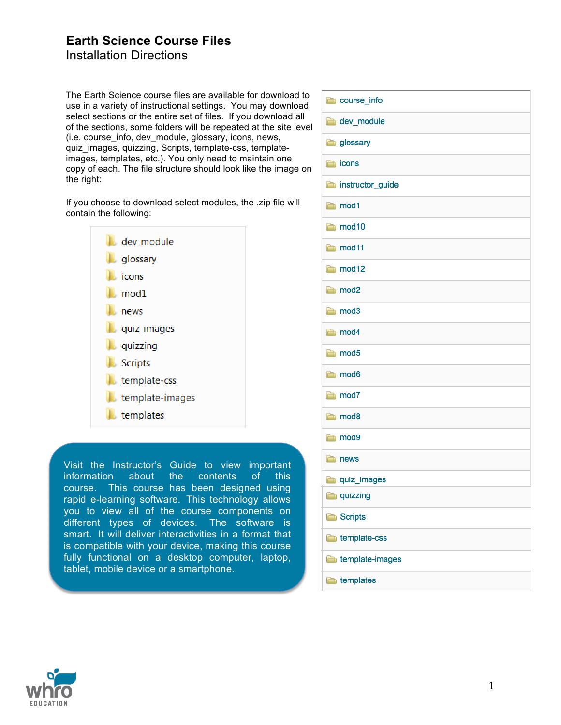### **Earth Science Course Files** Installation Directions

The Earth Science course files are available for download to use in a variety of instructional settings. You may download select sections or the entire set of files. If you download all of the sections, some folders will be repeated at the site level (i.e. course\_info, dev\_module, glossary, icons, news, quiz\_images, quizzing, Scripts, template-css, templateimages, templates, etc.). You only need to maintain one copy of each. The file structure should look like the image on the right:

If you choose to download select modules, the .zip file will contain the following:

| dev module                         |
|------------------------------------|
| <b>Contract of the designation</b> |
| icons                              |
| $\blacksquare$ mod $1$             |
| news                               |
| quiz_images                        |
| <b>L</b> quizzing                  |
| <b>Scripts</b>                     |
| $\blacksquare$ template-css        |
| template-images                    |
| templates                          |

Visit the Instructor's Guide to view important information about the contents of this course. This course has been designed using rapid e-learning software. This technology allows you to view all of the course components on different types of devices. The software is smart. It will deliver interactivities in a format that is compatible with your device, making this course fully functional on a desktop computer, laptop, tablet, mobile device or a smartphone.

| course info       |
|-------------------|
| dev_module        |
| glossary          |
| cons              |
| instructor_guide  |
| mod1              |
| mod <sub>10</sub> |
| mod11             |
| $\Box$ mod12      |
| mod <sub>2</sub>  |
| mod <sub>3</sub>  |
| mod4              |
| mod <sub>5</sub>  |
| mod <sub>6</sub>  |
| mod7              |
| mod <sub>8</sub>  |
| mod9              |
| <b>news</b>       |
| quiz_images       |
| <b>quizzing</b>   |
| <b>Scripts</b>    |
| template-css      |
| template-images   |
| templates         |

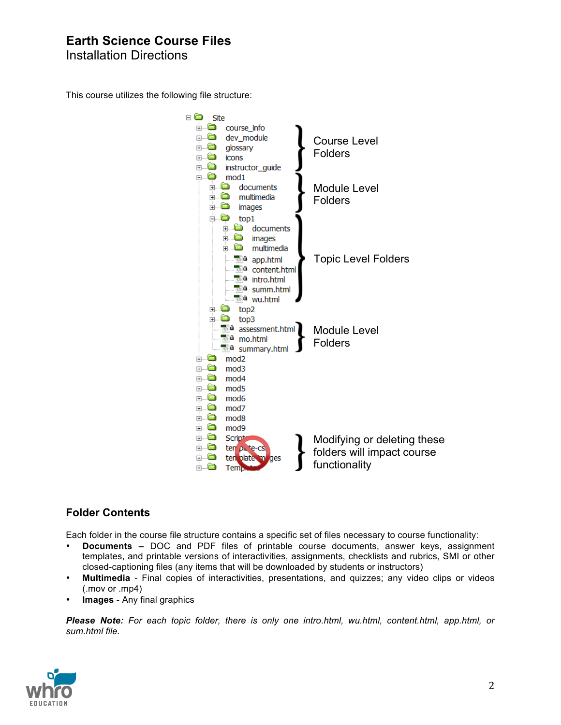## **Earth Science Course Files**

Installation Directions

This course utilizes the following file structure:



## **Folder Contents**

Each folder in the course file structure contains a specific set of files necessary to course functionality:

- **Documents –** DOC and PDF files of printable course documents, answer keys, assignment templates, and printable versions of interactivities, assignments, checklists and rubrics, SMI or other closed-captioning files (any items that will be downloaded by students or instructors)
- **Multimedia** Final copies of interactivities, presentations, and quizzes; any video clips or videos (.mov or .mp4)
- **Images** Any final graphics

*Please Note: For each topic folder, there is only one intro.html, wu.html, content.html, app.html, or sum.html file.*